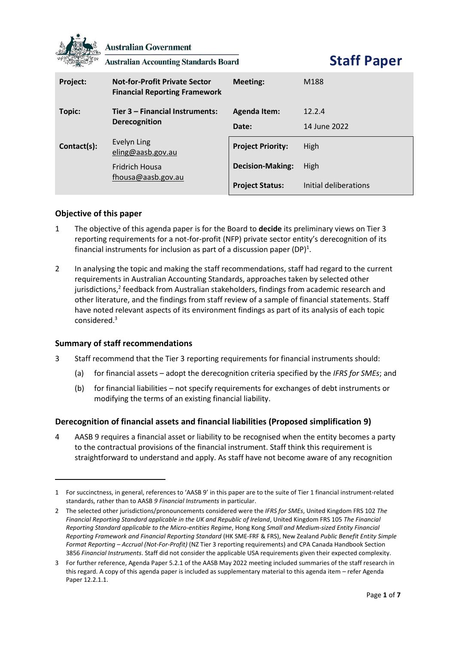

**Australian Government** 

**Australian Accounting Standards Board** 

**Staff Paper**

| Project:    | <b>Not-for-Profit Private Sector</b><br><b>Financial Reporting Framework</b> | Meeting:                 | M188                  |
|-------------|------------------------------------------------------------------------------|--------------------------|-----------------------|
| Topic:      | Tier 3 – Financial Instruments:<br><b>Derecognition</b>                      | <b>Agenda Item:</b>      | 12.2.4                |
|             |                                                                              | Date:                    | 14 June 2022          |
| Contact(s): | Evelyn Ling<br>eling@aasb.gov.au                                             | <b>Project Priority:</b> | High                  |
|             | <b>Fridrich Housa</b><br>fhousa@aasb.gov.au                                  | <b>Decision-Making:</b>  | High                  |
|             |                                                                              | <b>Project Status:</b>   | Initial deliberations |

# **Objective of this paper**

- 1 The objective of this agenda paper is for the Board to **decide** its preliminary views on Tier 3 reporting requirements for a not-for-profit (NFP) private sector entity's derecognition of its financial instruments for inclusion as part of a discussion paper (DP)<sup>1</sup>.
- 2 In analysing the topic and making the staff recommendations, staff had regard to the current requirements in Australian Accounting Standards, approaches taken by selected other jurisdictions,<sup>2</sup> feedback from Australian stakeholders, findings from academic research and other literature, and the findings from staff review of a sample of financial statements. Staff have noted relevant aspects of its environment findings as part of its analysis of each topic considered. 3

## **Summary of staff recommendations**

- 3 Staff recommend that the Tier 3 reporting requirements for financial instruments should:
	- (a) for financial assets adopt the derecognition criteria specified by the *IFRS for SMEs*; and
	- (b) for financial liabilities not specify requirements for exchanges of debt instruments or modifying the terms of an existing financial liability.

# **Derecognition of financial assets and financial liabilities (Proposed simplification 9)**

4 AASB 9 requires a financial asset or liability to be recognised when the entity becomes a party to the contractual provisions of the financial instrument. Staff think this requirement is straightforward to understand and apply. As staff have not become aware of any recognition

<sup>1</sup> For succinctness, in general, references to 'AASB 9' in this paper are to the suite of Tier 1 financial instrument-related standards, rather than to AASB *9 Financial Instruments* in particular.

<sup>2</sup> The selected other jurisdictions/pronouncements considered were the *IFRS for SMEs*, United Kingdom FRS 102 *The Financial Reporting Standard applicable in the UK and Republic of Ireland*, United Kingdom FRS 105 *The Financial Reporting Standard applicable to the Micro-entities Regime*, Hong Kong *Small and Medium-sized Entity Financial Reporting Framework and Financial Reporting Standard* (HK SME-FRF & FRS), New Zealand *Public Benefit Entity Simple Format Reporting – Accrual (Not-For-Profit)* (NZ Tier 3 reporting requirements) and CPA Canada Handbook Section 3856 *Financial Instruments*. Staff did not consider the applicable USA requirements given their expected complexity.

<sup>3</sup> For further reference, Agenda Paper 5.2.1 of the AASB May 2022 meeting included summaries of the staff research in this regard. A copy of this agenda paper is included as supplementary material to this agenda item – refer Agenda Paper 12.2.1.1.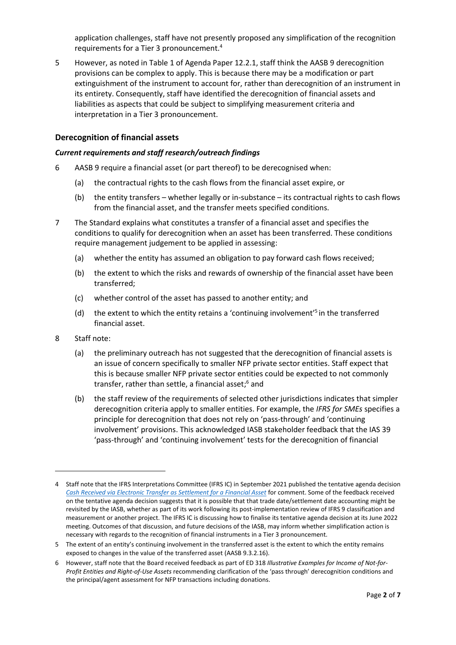application challenges, staff have not presently proposed any simplification of the recognition requirements for a Tier 3 pronouncement.<sup>4</sup>

5 However, as noted in Table 1 of Agenda Paper 12.2.1, staff think the AASB 9 derecognition provisions can be complex to apply. This is because there may be a modification or part extinguishment of the instrument to account for, rather than derecognition of an instrument in its entirety. Consequently, staff have identified the derecognition of financial assets and liabilities as aspects that could be subject to simplifying measurement criteria and interpretation in a Tier 3 pronouncement.

# **Derecognition of financial assets**

#### *Current requirements and staff research/outreach findings*

- 6 AASB 9 require a financial asset (or part thereof) to be derecognised when:
	- (a) the contractual rights to the cash flows from the financial asset expire, or
	- (b) the entity transfers whether legally or in-substance its contractual rights to cash flows from the financial asset, and the transfer meets specified conditions.
- 7 The Standard explains what constitutes a transfer of a financial asset and specifies the conditions to qualify for derecognition when an asset has been transferred. These conditions require management judgement to be applied in assessing:
	- (a) whether the entity has assumed an obligation to pay forward cash flows received;
	- (b) the extent to which the risks and rewards of ownership of the financial asset have been transferred;
	- (c) whether control of the asset has passed to another entity; and
	- (d) the extent to which the entity retains a 'continuing involvement'<sup>5</sup> in the transferred financial asset.
- 8 Staff note:
	- (a) the preliminary outreach has not suggested that the derecognition of financial assets is an issue of concern specifically to smaller NFP private sector entities. Staff expect that this is because smaller NFP private sector entities could be expected to not commonly transfer, rather than settle, a financial asset; <sup>6</sup> and
	- (b) the staff review of the requirements of selected other jurisdictions indicates that simpler derecognition criteria apply to smaller entities. For example, the *IFRS for SMEs* specifies a principle for derecognition that does not rely on 'pass-through' and 'continuing involvement' provisions. This acknowledged IASB stakeholder feedback that the IAS 39 'pass-through' and 'continuing involvement' tests for the derecognition of financial

<sup>4</sup> Staff note that the IFRS Interpretations Committee (IFRS IC) in September 2021 published the tentative agenda decision *[Cash Received via Electronic Transfer as Settlement for a Financial Asset](https://www.ifrs.org/projects/work-plan/cash-received-via-electronic-transfer-as-settlement-for-a-financ/tentative-agenda-decision-and-comment-letters/#consultation)* for comment. Some of the feedback received on the tentative agenda decision suggests that it is possible that that trade date/settlement date accounting might be revisited by the IASB, whether as part of its work following its post-implementation review of IFRS 9 classification and measurement or another project. The IFRS IC is discussing how to finalise its tentative agenda decision at its June 2022 meeting. Outcomes of that discussion, and future decisions of the IASB, may inform whether simplification action is necessary with regards to the recognition of financial instruments in a Tier 3 pronouncement.

<sup>5</sup> The extent of an entity's continuing involvement in the transferred asset is the extent to which the entity remains exposed to changes in the value of the transferred asset (AASB 9.3.2.16).

<sup>6</sup> However, staff note that the Board received feedback as part of ED 318 *Illustrative Examples for Income of Not-for-Profit Entities and Right-of-Use Assets* recommending clarification of the 'pass through' derecognition conditions and the principal/agent assessment for NFP transactions including donations.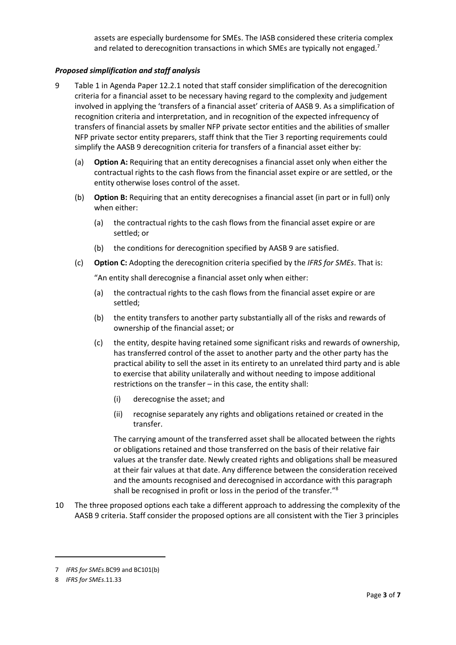assets are especially burdensome for SMEs. The IASB considered these criteria complex and related to derecognition transactions in which SMEs are typically not engaged.<sup>7</sup>

# *Proposed simplification and staff analysis*

- 9 Table 1 in Agenda Paper 12.2.1 noted that staff consider simplification of the derecognition criteria for a financial asset to be necessary having regard to the complexity and judgement involved in applying the 'transfers of a financial asset' criteria of AASB 9. As a simplification of recognition criteria and interpretation, and in recognition of the expected infrequency of transfers of financial assets by smaller NFP private sector entities and the abilities of smaller NFP private sector entity preparers, staff think that the Tier 3 reporting requirements could simplify the AASB 9 derecognition criteria for transfers of a financial asset either by:
	- (a) **Option A:** Requiring that an entity derecognises a financial asset only when either the contractual rights to the cash flows from the financial asset expire or are settled, or the entity otherwise loses control of the asset.
	- (b) **Option B:** Requiring that an entity derecognises a financial asset (in part or in full) only when either:
		- (a) the contractual rights to the cash flows from the financial asset expire or are settled; or
		- (b) the conditions for derecognition specified by AASB 9 are satisfied.
	- (c) **Option C:** Adopting the derecognition criteria specified by the *IFRS for SMEs*. That is:

"An entity shall derecognise a financial asset only when either:

- (a) the contractual rights to the cash flows from the financial asset expire or are settled;
- (b) the entity transfers to another party substantially all of the risks and rewards of ownership of the financial asset; or
- (c) the entity, despite having retained some significant risks and rewards of ownership, has transferred control of the asset to another party and the other party has the practical ability to sell the asset in its entirety to an unrelated third party and is able to exercise that ability unilaterally and without needing to impose additional restrictions on the transfer – in this case, the entity shall:
	- (i) derecognise the asset; and
	- (ii) recognise separately any rights and obligations retained or created in the transfer.

The carrying amount of the transferred asset shall be allocated between the rights or obligations retained and those transferred on the basis of their relative fair values at the transfer date. Newly created rights and obligations shall be measured at their fair values at that date. Any difference between the consideration received and the amounts recognised and derecognised in accordance with this paragraph shall be recognised in profit or loss in the period of the transfer."<sup>8</sup>

10 The three proposed options each take a different approach to addressing the complexity of the AASB 9 criteria. Staff consider the proposed options are all consistent with the Tier 3 principles

<sup>7</sup> *IFRS for SMEs*.BC99 and BC101(b)

<sup>8</sup> *IFRS for SMEs*.11.33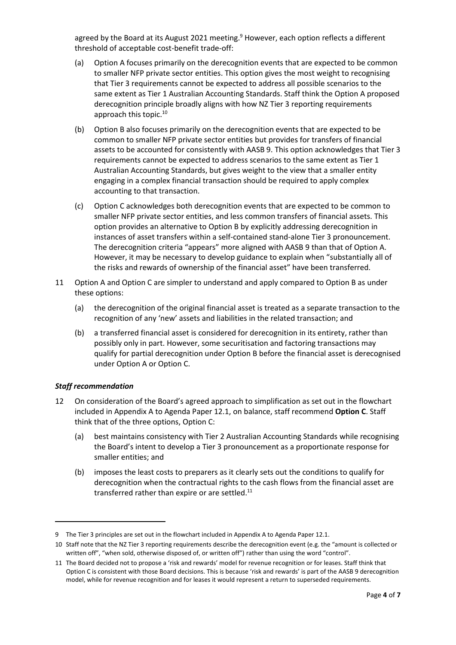agreed by the Board at its August 2021 meeting.<sup>9</sup> However, each option reflects a different threshold of acceptable cost-benefit trade-off:

- (a) Option A focuses primarily on the derecognition events that are expected to be common to smaller NFP private sector entities. This option gives the most weight to recognising that Tier 3 requirements cannot be expected to address all possible scenarios to the same extent as Tier 1 Australian Accounting Standards. Staff think the Option A proposed derecognition principle broadly aligns with how NZ Tier 3 reporting requirements approach this topic.<sup>10</sup>
- (b) Option B also focuses primarily on the derecognition events that are expected to be common to smaller NFP private sector entities but provides for transfers of financial assets to be accounted for consistently with AASB 9. This option acknowledges that Tier 3 requirements cannot be expected to address scenarios to the same extent as Tier 1 Australian Accounting Standards, but gives weight to the view that a smaller entity engaging in a complex financial transaction should be required to apply complex accounting to that transaction.
- (c) Option C acknowledges both derecognition events that are expected to be common to smaller NFP private sector entities, and less common transfers of financial assets. This option provides an alternative to Option B by explicitly addressing derecognition in instances of asset transfers within a self-contained stand-alone Tier 3 pronouncement. The derecognition criteria "appears" more aligned with AASB 9 than that of Option A. However, it may be necessary to develop guidance to explain when "substantially all of the risks and rewards of ownership of the financial asset" have been transferred.
- <span id="page-3-0"></span>11 Option A and Option C are simpler to understand and apply compared to Option B as under these options:
	- (a) the derecognition of the original financial asset is treated as a separate transaction to the recognition of any 'new' assets and liabilities in the related transaction; and
	- (b) a transferred financial asset is considered for derecognition in its entirety, rather than possibly only in part. However, some securitisation and factoring transactions may qualify for partial derecognition under Option B before the financial asset is derecognised under Option A or Option C.

## *Staff recommendation*

- <span id="page-3-1"></span>12 On consideration of the Board's agreed approach to simplification as set out in the flowchart included in Appendix A to Agenda Paper 12.1, on balance, staff recommend **Option C**. Staff think that of the three options, Option C:
	- (a) best maintains consistency with Tier 2 Australian Accounting Standards while recognising the Board's intent to develop a Tier 3 pronouncement as a proportionate response for smaller entities; and
	- (b) imposes the least costs to preparers as it clearly sets out the conditions to qualify for derecognition when the contractual rights to the cash flows from the financial asset are transferred rather than expire or are settled.<sup>11</sup>

<sup>9</sup> The Tier 3 principles are set out in the flowchart included in Appendix A to Agenda Paper 12.1.

<sup>10</sup> Staff note that the NZ Tier 3 reporting requirements describe the derecognition event (e.g. the "amount is collected or written off", "when sold, otherwise disposed of, or written off") rather than using the word "control".

<sup>11</sup> The Board decided not to propose a 'risk and rewards' model for revenue recognition or for leases. Staff think that Option C is consistent with those Board decisions. This is because 'risk and rewards' is part of the AASB 9 derecognition model, while for revenue recognition and for leases it would represent a return to superseded requirements.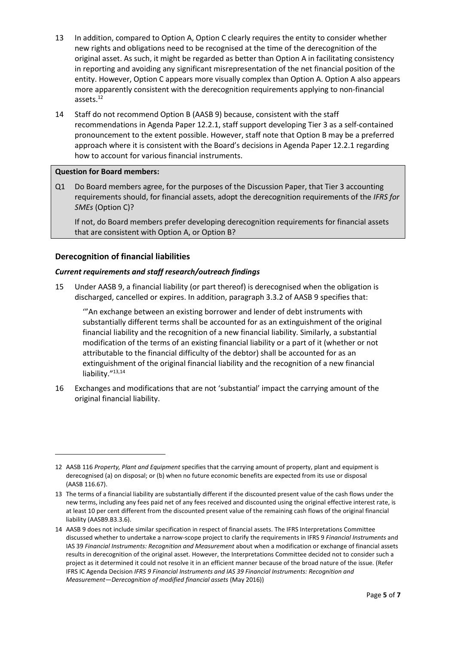- 13 In addition, compared to Option A, Option C clearly requires the entity to consider whether new rights and obligations need to be recognised at the time of the derecognition of the original asset. As such, it might be regarded as better than Option A in facilitating consistency in reporting and avoiding any significant misrepresentation of the net financial position of the entity. However, Option C appears more visually complex than Option A. Option A also appears more apparently consistent with the derecognition requirements applying to non-financial assets.<sup>12</sup>
- 14 Staff do not recommend Option B (AASB 9) because, consistent with the staff recommendations in Agenda Paper 12.2.1, staff support developing Tier 3 as a self-contained pronouncement to the extent possible. However, staff note that Option B may be a preferred approach where it is consistent with the Board's decisions in Agenda Paper 12.2.1 regarding how to account for various financial instruments.

#### **Question for Board members:**

Q1 Do Board members agree, for the purposes of the Discussion Paper, that Tier 3 accounting requirements should, for financial assets, adopt the derecognition requirements of the *IFRS for SMEs* (Option C)?

If not, do Board members prefer developing derecognition requirements for financial assets that are consistent with Option A, or Option B?

## **Derecognition of financial liabilities**

# *Current requirements and staff research/outreach findings*

15 Under AASB 9, a financial liability (or part thereof) is derecognised when the obligation is discharged, cancelled or expires. In addition, paragraph 3.3.2 of AASB 9 specifies that:

'"An exchange between an existing borrower and lender of debt instruments with substantially different terms shall be accounted for as an extinguishment of the original financial liability and the recognition of a new financial liability. Similarly, a substantial modification of the terms of an existing financial liability or a part of it (whether or not attributable to the financial difficulty of the debtor) shall be accounted for as an extinguishment of the original financial liability and the recognition of a new financial liability."<sup>13,14</sup>

16 Exchanges and modifications that are not 'substantial' impact the carrying amount of the original financial liability.

<sup>12</sup> AASB 116 *Property, Plant and Equipment* specifies that the carrying amount of property, plant and equipment is derecognised (a) on disposal; or (b) when no future economic benefits are expected from its use or disposal (AASB 116.67).

<sup>13</sup> The terms of a financial liability are substantially different if the discounted present value of the cash flows under the new terms, including any fees paid net of any fees received and discounted using the original effective interest rate, is at least 10 per cent different from the discounted present value of the remaining cash flows of the original financial liability (AASB9.B3.3.6).

<sup>14</sup> AASB 9 does not include similar specification in respect of financial assets. The IFRS Interpretations Committee discussed whether to undertake a narrow-scope project to clarify the requirements in IFRS 9 *Financial Instruments* and IAS 39 *Financial Instruments: Recognition and Measurement* about when a modification or exchange of financial assets results in derecognition of the original asset. However, the Interpretations Committee decided not to consider such a project as it determined it could not resolve it in an efficient manner because of the broad nature of the issue. (Refer IFRS IC Agenda Decision *IFRS 9 Financial Instruments and IAS 39 Financial Instruments: Recognition and Measurement—Derecognition of modified financial assets* (May 2016))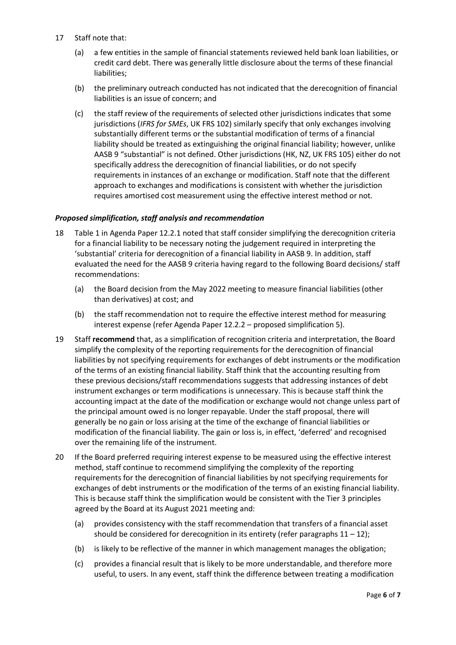- 17 Staff note that:
	- (a) a few entities in the sample of financial statements reviewed held bank loan liabilities, or credit card debt. There was generally little disclosure about the terms of these financial liabilities;
	- (b) the preliminary outreach conducted has not indicated that the derecognition of financial liabilities is an issue of concern; and
	- (c) the staff review of the requirements of selected other jurisdictions indicates that some jurisdictions (*IFRS for SMEs*, UK FRS 102) similarly specify that only exchanges involving substantially different terms or the substantial modification of terms of a financial liability should be treated as extinguishing the original financial liability; however, unlike AASB 9 "substantial" is not defined. Other jurisdictions (HK, NZ, UK FRS 105) either do not specifically address the derecognition of financial liabilities, or do not specify requirements in instances of an exchange or modification. Staff note that the different approach to exchanges and modifications is consistent with whether the jurisdiction requires amortised cost measurement using the effective interest method or not.

## *Proposed simplification, staff analysis and recommendation*

- 18 Table 1 in Agenda Paper 12.2.1 noted that staff consider simplifying the derecognition criteria for a financial liability to be necessary noting the judgement required in interpreting the 'substantial' criteria for derecognition of a financial liability in AASB 9. In addition, staff evaluated the need for the AASB 9 criteria having regard to the following Board decisions/ staff recommendations:
	- (a) the Board decision from the May 2022 meeting to measure financial liabilities (other than derivatives) at cost; and
	- (b) the staff recommendation not to require the effective interest method for measuring interest expense (refer Agenda Paper 12.2.2 – proposed simplification 5).
- 19 Staff **recommend** that, as a simplification of recognition criteria and interpretation, the Board simplify the complexity of the reporting requirements for the derecognition of financial liabilities by not specifying requirements for exchanges of debt instruments or the modification of the terms of an existing financial liability. Staff think that the accounting resulting from these previous decisions/staff recommendations suggests that addressing instances of debt instrument exchanges or term modifications is unnecessary. This is because staff think the accounting impact at the date of the modification or exchange would not change unless part of the principal amount owed is no longer repayable. Under the staff proposal, there will generally be no gain or loss arising at the time of the exchange of financial liabilities or modification of the financial liability. The gain or loss is, in effect, 'deferred' and recognised over the remaining life of the instrument.
- 20 If the Board preferred requiring interest expense to be measured using the effective interest method, staff continue to recommend simplifying the complexity of the reporting requirements for the derecognition of financial liabilities by not specifying requirements for exchanges of debt instruments or the modification of the terms of an existing financial liability. This is because staff think the simplification would be consistent with the Tier 3 principles agreed by the Board at its August 2021 meeting and:
	- (a) provides consistency with the staff recommendation that transfers of a financial asset should be considered for derecognition in its entirety (refer paragraphs  $11 - 12$ );
	- (b) is likely to be reflective of the manner in which management manages the obligation;
	- (c) provides a financial result that is likely to be more understandable, and therefore more useful, to users. In any event, staff think the difference between treating a modification